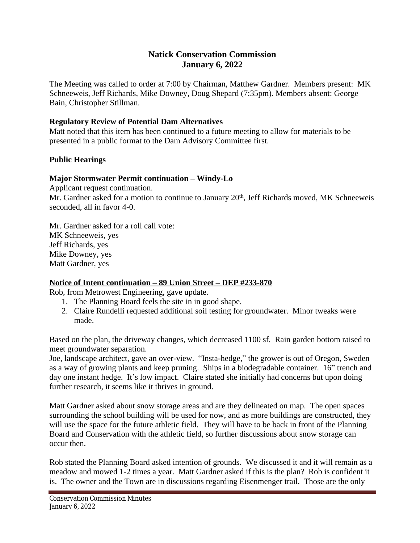# **Natick Conservation Commission January 6, 2022**

The Meeting was called to order at 7:00 by Chairman, Matthew Gardner. Members present: MK Schneeweis, Jeff Richards, Mike Downey, Doug Shepard (7:35pm). Members absent: George Bain, Christopher Stillman.

## **Regulatory Review of Potential Dam Alternatives**

Matt noted that this item has been continued to a future meeting to allow for materials to be presented in a public format to the Dam Advisory Committee first.

## **Public Hearings**

## **Major Stormwater Permit continuation – Windy-Lo**

Applicant request continuation.

Mr. Gardner asked for a motion to continue to January 20<sup>th</sup>, Jeff Richards moved, MK Schneeweis seconded, all in favor 4-0.

Mr. Gardner asked for a roll call vote: MK Schneeweis, yes Jeff Richards, yes Mike Downey, yes Matt Gardner, yes

## **Notice of Intent continuation – 89 Union Street – DEP #233-870**

Rob, from Metrowest Engineering, gave update.

- 1. The Planning Board feels the site in in good shape.
- 2. Claire Rundelli requested additional soil testing for groundwater. Minor tweaks were made.

Based on the plan, the driveway changes, which decreased 1100 sf. Rain garden bottom raised to meet groundwater separation.

Joe, landscape architect, gave an over-view. "Insta-hedge," the grower is out of Oregon, Sweden as a way of growing plants and keep pruning. Ships in a biodegradable container. 16" trench and day one instant hedge. It's low impact. Claire stated she initially had concerns but upon doing further research, it seems like it thrives in ground.

Matt Gardner asked about snow storage areas and are they delineated on map. The open spaces surrounding the school building will be used for now, and as more buildings are constructed, they will use the space for the future athletic field. They will have to be back in front of the Planning Board and Conservation with the athletic field, so further discussions about snow storage can occur then.

Rob stated the Planning Board asked intention of grounds. We discussed it and it will remain as a meadow and mowed 1-2 times a year. Matt Gardner asked if this is the plan? Rob is confident it is. The owner and the Town are in discussions regarding Eisenmenger trail. Those are the only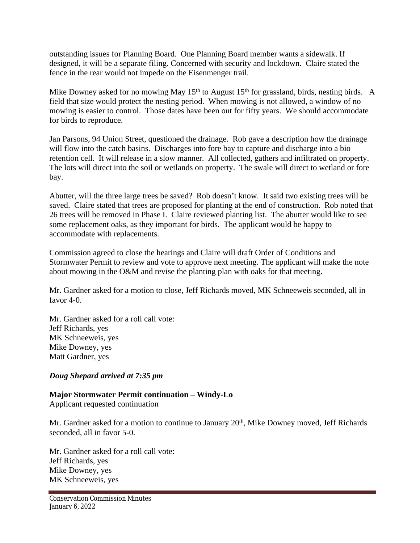outstanding issues for Planning Board. One Planning Board member wants a sidewalk. If designed, it will be a separate filing. Concerned with security and lockdown. Claire stated the fence in the rear would not impede on the Eisenmenger trail.

Mike Downey asked for no mowing May  $15<sup>th</sup>$  to August  $15<sup>th</sup>$  for grassland, birds, nesting birds. A field that size would protect the nesting period. When mowing is not allowed, a window of no mowing is easier to control. Those dates have been out for fifty years. We should accommodate for birds to reproduce.

Jan Parsons, 94 Union Street, questioned the drainage. Rob gave a description how the drainage will flow into the catch basins. Discharges into fore bay to capture and discharge into a bio retention cell. It will release in a slow manner. All collected, gathers and infiltrated on property. The lots will direct into the soil or wetlands on property. The swale will direct to wetland or fore bay.

Abutter, will the three large trees be saved? Rob doesn't know. It said two existing trees will be saved. Claire stated that trees are proposed for planting at the end of construction. Rob noted that 26 trees will be removed in Phase I. Claire reviewed planting list. The abutter would like to see some replacement oaks, as they important for birds. The applicant would be happy to accommodate with replacements.

Commission agreed to close the hearings and Claire will draft Order of Conditions and Stormwater Permit to review and vote to approve next meeting. The applicant will make the note about mowing in the O&M and revise the planting plan with oaks for that meeting.

Mr. Gardner asked for a motion to close, Jeff Richards moved, MK Schneeweis seconded, all in favor 4-0.

Mr. Gardner asked for a roll call vote: Jeff Richards, yes MK Schneeweis, yes Mike Downey, yes Matt Gardner, yes

## *Doug Shepard arrived at 7:35 pm*

## **Major Stormwater Permit continuation – Windy-Lo**

Applicant requested continuation

Mr. Gardner asked for a motion to continue to January 20<sup>th</sup>, Mike Downey moved, Jeff Richards seconded, all in favor 5-0.

Mr. Gardner asked for a roll call vote: Jeff Richards, yes Mike Downey, yes MK Schneeweis, yes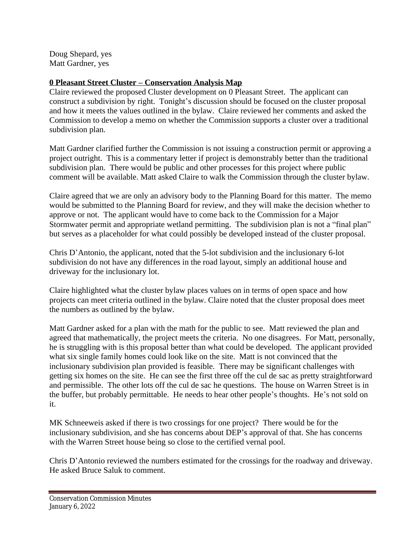Doug Shepard, yes Matt Gardner, yes

## **0 Pleasant Street Cluster – Conservation Analysis Map**

Claire reviewed the proposed Cluster development on 0 Pleasant Street. The applicant can construct a subdivision by right. Tonight's discussion should be focused on the cluster proposal and how it meets the values outlined in the bylaw. Claire reviewed her comments and asked the Commission to develop a memo on whether the Commission supports a cluster over a traditional subdivision plan.

Matt Gardner clarified further the Commission is not issuing a construction permit or approving a project outright. This is a commentary letter if project is demonstrably better than the traditional subdivision plan. There would be public and other processes for this project where public comment will be available. Matt asked Claire to walk the Commission through the cluster bylaw.

Claire agreed that we are only an advisory body to the Planning Board for this matter. The memo would be submitted to the Planning Board for review, and they will make the decision whether to approve or not. The applicant would have to come back to the Commission for a Major Stormwater permit and appropriate wetland permitting. The subdivision plan is not a "final plan" but serves as a placeholder for what could possibly be developed instead of the cluster proposal.

Chris D'Antonio, the applicant, noted that the 5-lot subdivision and the inclusionary 6-lot subdivision do not have any differences in the road layout, simply an additional house and driveway for the inclusionary lot.

Claire highlighted what the cluster bylaw places values on in terms of open space and how projects can meet criteria outlined in the bylaw. Claire noted that the cluster proposal does meet the numbers as outlined by the bylaw.

Matt Gardner asked for a plan with the math for the public to see. Matt reviewed the plan and agreed that mathematically, the project meets the criteria. No one disagrees. For Matt, personally, he is struggling with is this proposal better than what could be developed. The applicant provided what six single family homes could look like on the site. Matt is not convinced that the inclusionary subdivision plan provided is feasible. There may be significant challenges with getting six homes on the site. He can see the first three off the cul de sac as pretty straightforward and permissible. The other lots off the cul de sac he questions. The house on Warren Street is in the buffer, but probably permittable. He needs to hear other people's thoughts. He's not sold on it.

MK Schneeweis asked if there is two crossings for one project? There would be for the inclusionary subdivision, and she has concerns about DEP's approval of that. She has concerns with the Warren Street house being so close to the certified vernal pool.

Chris D'Antonio reviewed the numbers estimated for the crossings for the roadway and driveway. He asked Bruce Saluk to comment.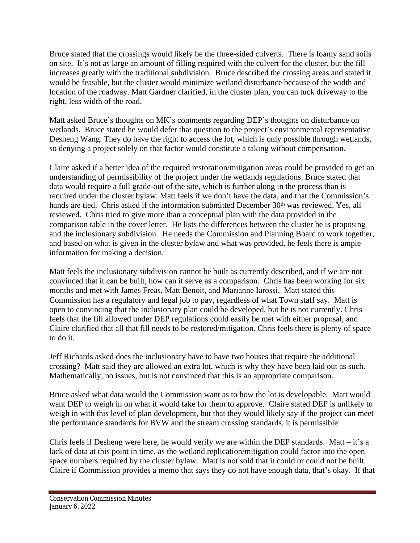Bruce stated that the crossings would likely be the three-sided culverts. There is loamy sand soils on site. It's not as large an amount of filling required with the culvert for the cluster, but the fill increases greatly with the traditional subdivision. Bruce described the crossing areas and stated it would be feasible, but the cluster would minimize wetland disturbance because of the width and location of the roadway. Matt Gardner clarified, in the cluster plan, you can tuck driveway to the right, less width of the road.

Matt asked Bruce's thoughts on MK's comments regarding DEP's thoughts on disturbance on wetlands. Bruce stated he would defer that question to the project's environmental representative Desheng Wang. They do have the right to access the lot, which is only possible through wetlands, so denying a project solely on that factor would constitute a taking without compensation.

Claire asked if a better idea of the required restoration/mitigation areas could be provided to get an understanding of permissibility of the project under the wetlands regulations. Bruce stated that data would require a full grade-out of the site, which is further along in the process than is required under the cluster bylaw. Matt feels if we don't have the data, and that the Commission's hands are tied. Chris asked if the information submitted December 30<sup>th</sup> was reviewed. Yes, all reviewed. Chris tried to give more than a conceptual plan with the data provided in the comparison table in the cover letter. He lists the differences between the cluster he is proposing and the inclusionary subdivision. He needs the Commission and Planning Board to work together, and based on what is given in the cluster bylaw and what was provided, he feels there is ample information for making a decision.

Matt feels the inclusionary subdivision cannot be built as currently described, and if we are not convinced that it can be built, how can it serve as a comparison. Chris has been working for six months and met with James Freas, Matt Benoit, and Marianne Iarossi. Matt stated this Commission has a regulatory and legal job to pay, regardless of what Town staff say. Matt is open to convincing that the inclusionary plan could be developed, but he is not currently. Chris feels that the fill allowed under DEP regulations could easily be met with either proposal, and Claire clarified that all that fill needs to be restored/mitigation. Chris feels there is plenty of space to do it.

Jeff Richards asked does the inclusionary have to have two houses that require the additional crossing? Matt said they are allowed an extra lot, which is why they have been laid out as such. Mathematically, no issues, but is not convinced that this is an appropriate comparison.

Bruce asked what data would the Commission want as to how the lot is developable. Matt would want DEP to weigh in on what it would take for them to approve. Claire stated DEP is unlikely to weigh in with this level of plan development, but that they would likely say if the project can meet the performance standards for BVW and the stream crossing standards, it is permissible.

Chris feels if Desheng were here, he would verify we are within the DEP standards. Matt – it's a lack of data at this point in time, as the wetland replication/mitigation could factor into the open space numbers required by the cluster bylaw. Matt is not sold that it could or could not be built. Claire if Commission provides a memo that says they do not have enough data, that's okay. If that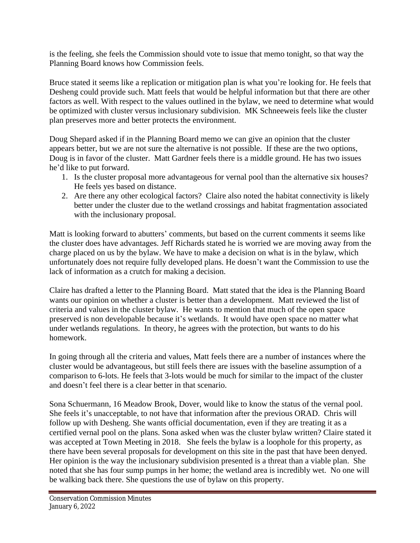is the feeling, she feels the Commission should vote to issue that memo tonight, so that way the Planning Board knows how Commission feels.

Bruce stated it seems like a replication or mitigation plan is what you're looking for. He feels that Desheng could provide such. Matt feels that would be helpful information but that there are other factors as well. With respect to the values outlined in the bylaw, we need to determine what would be optimized with cluster versus inclusionary subdivision. MK Schneeweis feels like the cluster plan preserves more and better protects the environment.

Doug Shepard asked if in the Planning Board memo we can give an opinion that the cluster appears better, but we are not sure the alternative is not possible. If these are the two options, Doug is in favor of the cluster. Matt Gardner feels there is a middle ground. He has two issues he'd like to put forward.

- 1. Is the cluster proposal more advantageous for vernal pool than the alternative six houses? He feels yes based on distance.
- 2. Are there any other ecological factors? Claire also noted the habitat connectivity is likely better under the cluster due to the wetland crossings and habitat fragmentation associated with the inclusionary proposal.

Matt is looking forward to abutters' comments, but based on the current comments it seems like the cluster does have advantages. Jeff Richards stated he is worried we are moving away from the charge placed on us by the bylaw. We have to make a decision on what is in the bylaw, which unfortunately does not require fully developed plans. He doesn't want the Commission to use the lack of information as a crutch for making a decision.

Claire has drafted a letter to the Planning Board. Matt stated that the idea is the Planning Board wants our opinion on whether a cluster is better than a development. Matt reviewed the list of criteria and values in the cluster bylaw. He wants to mention that much of the open space preserved is non developable because it's wetlands. It would have open space no matter what under wetlands regulations. In theory, he agrees with the protection, but wants to do his homework.

In going through all the criteria and values, Matt feels there are a number of instances where the cluster would be advantageous, but still feels there are issues with the baseline assumption of a comparison to 6-lots. He feels that 3-lots would be much for similar to the impact of the cluster and doesn't feel there is a clear better in that scenario.

Sona Schuermann, 16 Meadow Brook, Dover, would like to know the status of the vernal pool. She feels it's unacceptable, to not have that information after the previous ORAD. Chris will follow up with Desheng. She wants official documentation, even if they are treating it as a certified vernal pool on the plans. Sona asked when was the cluster bylaw written? Claire stated it was accepted at Town Meeting in 2018. She feels the bylaw is a loophole for this property, as there have been several proposals for development on this site in the past that have been denyed. Her opinion is the way the inclusionary subdivision presented is a threat than a viable plan. She noted that she has four sump pumps in her home; the wetland area is incredibly wet. No one will be walking back there. She questions the use of bylaw on this property.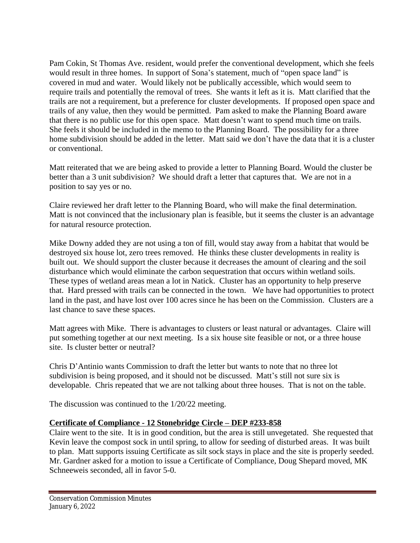Pam Cokin, St Thomas Ave. resident, would prefer the conventional development, which she feels would result in three homes. In support of Sona's statement, much of "open space land" is covered in mud and water. Would likely not be publically accessible, which would seem to require trails and potentially the removal of trees. She wants it left as it is. Matt clarified that the trails are not a requirement, but a preference for cluster developments. If proposed open space and trails of any value, then they would be permitted. Pam asked to make the Planning Board aware that there is no public use for this open space. Matt doesn't want to spend much time on trails. She feels it should be included in the memo to the Planning Board. The possibility for a three home subdivision should be added in the letter. Matt said we don't have the data that it is a cluster or conventional.

Matt reiterated that we are being asked to provide a letter to Planning Board. Would the cluster be better than a 3 unit subdivision? We should draft a letter that captures that. We are not in a position to say yes or no.

Claire reviewed her draft letter to the Planning Board, who will make the final determination. Matt is not convinced that the inclusionary plan is feasible, but it seems the cluster is an advantage for natural resource protection.

Mike Downy added they are not using a ton of fill, would stay away from a habitat that would be destroyed six house lot, zero trees removed. He thinks these cluster developments in reality is built out. We should support the cluster because it decreases the amount of clearing and the soil disturbance which would eliminate the carbon sequestration that occurs within wetland soils. These types of wetland areas mean a lot in Natick. Cluster has an opportunity to help preserve that. Hard pressed with trails can be connected in the town. We have had opportunities to protect land in the past, and have lost over 100 acres since he has been on the Commission. Clusters are a last chance to save these spaces.

Matt agrees with Mike. There is advantages to clusters or least natural or advantages. Claire will put something together at our next meeting. Is a six house site feasible or not, or a three house site. Is cluster better or neutral?

Chris D'Antinio wants Commission to draft the letter but wants to note that no three lot subdivision is being proposed, and it should not be discussed. Matt's still not sure six is developable. Chris repeated that we are not talking about three houses. That is not on the table.

The discussion was continued to the 1/20/22 meeting.

## **Certificate of Compliance - 12 Stonebridge Circle – DEP #233-858**

Claire went to the site. It is in good condition, but the area is still unvegetated. She requested that Kevin leave the compost sock in until spring, to allow for seeding of disturbed areas. It was built to plan. Matt supports issuing Certificate as silt sock stays in place and the site is properly seeded. Mr. Gardner asked for a motion to issue a Certificate of Compliance, Doug Shepard moved, MK Schneeweis seconded, all in favor 5-0.